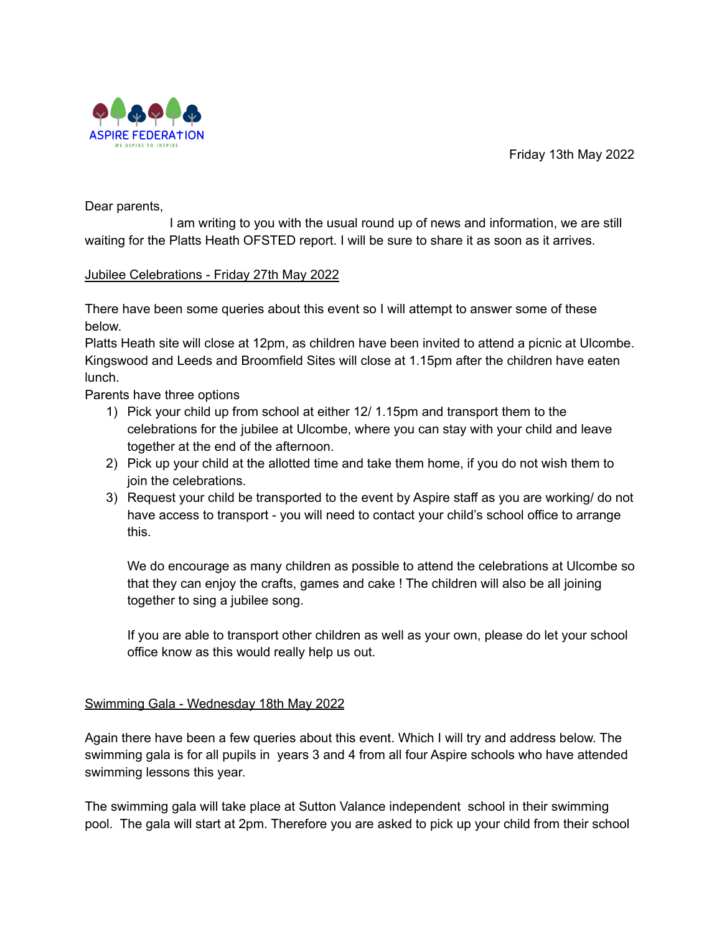Friday 13th May 2022



Dear parents,

I am writing to you with the usual round up of news and information, we are still waiting for the Platts Heath OFSTED report. I will be sure to share it as soon as it arrives.

# Jubilee Celebrations - Friday 27th May 2022

There have been some queries about this event so I will attempt to answer some of these below.

Platts Heath site will close at 12pm, as children have been invited to attend a picnic at Ulcombe. Kingswood and Leeds and Broomfield Sites will close at 1.15pm after the children have eaten lunch.

Parents have three options

- 1) Pick your child up from school at either 12/ 1.15pm and transport them to the celebrations for the jubilee at Ulcombe, where you can stay with your child and leave together at the end of the afternoon.
- 2) Pick up your child at the allotted time and take them home, if you do not wish them to join the celebrations.
- 3) Request your child be transported to the event by Aspire staff as you are working/ do not have access to transport - you will need to contact your child's school office to arrange this.

We do encourage as many children as possible to attend the celebrations at Ulcombe so that they can enjoy the crafts, games and cake ! The children will also be all joining together to sing a jubilee song.

If you are able to transport other children as well as your own, please do let your school office know as this would really help us out.

# Swimming Gala - Wednesday 18th May 2022

Again there have been a few queries about this event. Which I will try and address below. The swimming gala is for all pupils in years 3 and 4 from all four Aspire schools who have attended swimming lessons this year.

The swimming gala will take place at Sutton Valance independent school in their swimming pool. The gala will start at 2pm. Therefore you are asked to pick up your child from their school